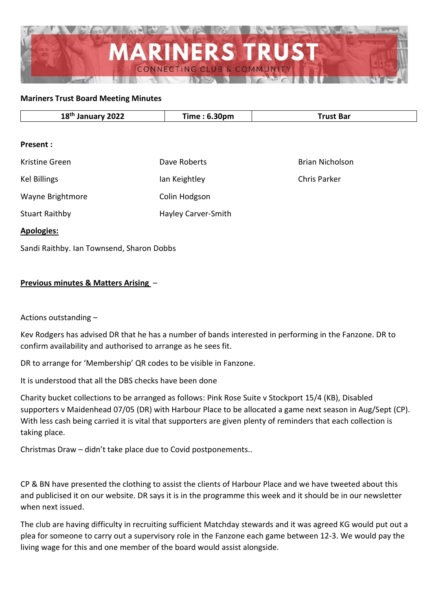

### **Mariners Trust Board Meeting Minutes**

| 18 <sup>th</sup> January 2022 | <b>Time: 6.30pm</b> | <b>Trust Bar</b>       |
|-------------------------------|---------------------|------------------------|
| <b>Present:</b>               |                     |                        |
| Kristine Green                | Dave Roberts        | <b>Brian Nicholson</b> |
| <b>Kel Billings</b>           | lan Keightley       | <b>Chris Parker</b>    |
| Wayne Brightmore              | Colin Hodgson       |                        |
| <b>Stuart Raithby</b>         | Hayley Carver-Smith |                        |
| Anologiacu                    |                     |                        |

**Apologies:**

Sandi Raithby. Ian Townsend, Sharon Dobbs

# **Previous minutes & Matters Arising** –

### Actions outstanding –

Kev Rodgers has advised DR that he has a number of bands interested in performing in the Fanzone. DR to confirm availability and authorised to arrange as he sees fit.

DR to arrange for 'Membership' QR codes to be visible in Fanzone.

It is understood that all the DBS checks have been done

Charity bucket collections to be arranged as follows: Pink Rose Suite v Stockport 15/4 (KB), Disabled supporters v Maidenhead 07/05 (DR) with Harbour Place to be allocated a game next season in Aug/Sept (CP). With less cash being carried it is vital that supporters are given plenty of reminders that each collection is taking place.

Christmas Draw – didn't take place due to Covid postponements..

CP & BN have presented the clothing to assist the clients of Harbour Place and we have tweeted about this and publicised it on our website. DR says it is in the programme this week and it should be in our newsletter when next issued.

The club are having difficulty in recruiting sufficient Matchday stewards and it was agreed KG would put out a plea for someone to carry out a supervisory role in the Fanzone each game between 12-3. We would pay the living wage for this and one member of the board would assist alongside.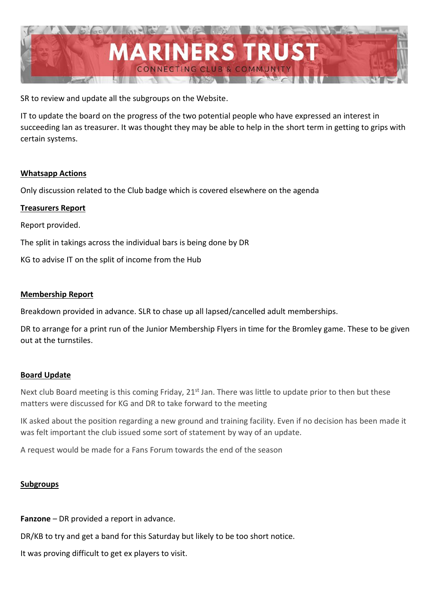

SR to review and update all the subgroups on the Website.

IT to update the board on the progress of the two potential people who have expressed an interest in succeeding Ian as treasurer. It was thought they may be able to help in the short term in getting to grips with certain systems.

# **Whatsapp Actions**

Only discussion related to the Club badge which is covered elsewhere on the agenda

# **Treasurers Report**

Report provided.

The split in takings across the individual bars is being done by DR

KG to advise IT on the split of income from the Hub

# **Membership Report**

Breakdown provided in advance. SLR to chase up all lapsed/cancelled adult memberships.

DR to arrange for a print run of the Junior Membership Flyers in time for the Bromley game. These to be given out at the turnstiles.

# **Board Update**

Next club Board meeting is this coming Friday, 21<sup>st</sup> Jan. There was little to update prior to then but these matters were discussed for KG and DR to take forward to the meeting

IK asked about the position regarding a new ground and training facility. Even if no decision has been made it was felt important the club issued some sort of statement by way of an update.

A request would be made for a Fans Forum towards the end of the season

### **Subgroups**

**Fanzone** – DR provided a report in advance.

DR/KB to try and get a band for this Saturday but likely to be too short notice.

It was proving difficult to get ex players to visit.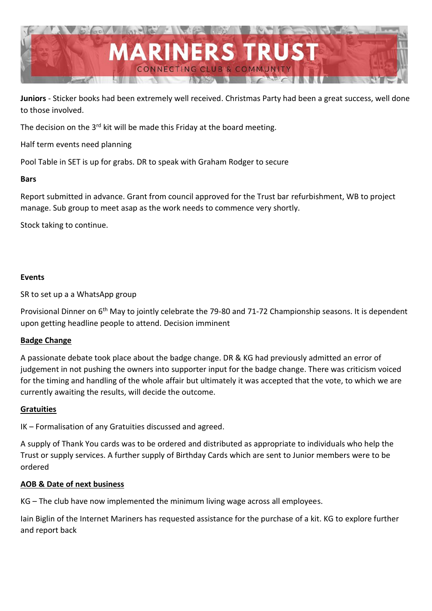

**Juniors** - Sticker books had been extremely well received. Christmas Party had been a great success, well done to those involved.

The decision on the  $3<sup>rd</sup>$  kit will be made this Friday at the board meeting.

Half term events need planning

Pool Table in SET is up for grabs. DR to speak with Graham Rodger to secure

### **Bars**

Report submitted in advance. Grant from council approved for the Trust bar refurbishment, WB to project manage. Sub group to meet asap as the work needs to commence very shortly.

Stock taking to continue.

### **Events**

SR to set up a a WhatsApp group

Provisional Dinner on 6<sup>th</sup> May to jointly celebrate the 79-80 and 71-72 Championship seasons. It is dependent upon getting headline people to attend. Decision imminent

### **Badge Change**

A passionate debate took place about the badge change. DR & KG had previously admitted an error of judgement in not pushing the owners into supporter input for the badge change. There was criticism voiced for the timing and handling of the whole affair but ultimately it was accepted that the vote, to which we are currently awaiting the results, will decide the outcome.

### **Gratuities**

IK – Formalisation of any Gratuities discussed and agreed.

A supply of Thank You cards was to be ordered and distributed as appropriate to individuals who help the Trust or supply services. A further supply of Birthday Cards which are sent to Junior members were to be ordered

### **AOB & Date of next business**

KG – The club have now implemented the minimum living wage across all employees.

Iain Biglin of the Internet Mariners has requested assistance for the purchase of a kit. KG to explore further and report back